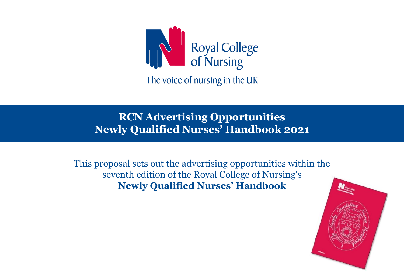

The voice of nursing in the UK

# **RCN Advertising Opportunities Newly Qualified Nurses' Handbook 2021**

This proposal sets out the advertising opportunities within the seventh edition of the Royal College of Nursing's **Newly Qualified Nurses' Handbook**

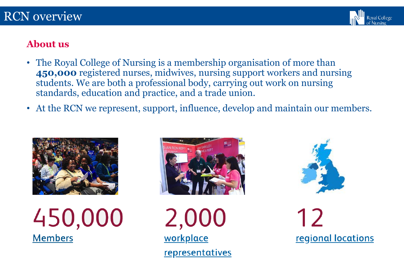

## **About us**

- The Royal College of Nursing is a membership organisation of more than **450,000** registered nurses, midwives, nursing support workers and nursing students. We are both a professional body, carrying out work on nursing standards, education and practice, and a trade union.
- At the RCN we represent, support, influence, develop and maintain our members.







2,000 workplace **representatives** 



12 **regional locations**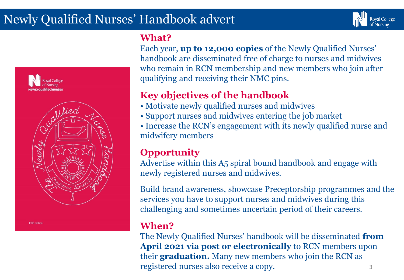# Newly Qualified Nurses' Handbook advert



### **What?**

Each year, **up to 12,000 copies** of the Newly Qualified Nurses' handbook are disseminated free of charge to nurses and midwives who remain in RCN membership and new members who join after qualifying and receiving their NMC pins.

**Royal College** 

# **Key objectives of the handbook**

- Motivate newly qualified nurses and midwives
- Support nurses and midwives entering the job market

• Increase the RCN's engagement with its newly qualified nurse and midwifery members

# **Opportunity**

Advertise within this A5 spiral bound handbook and engage with newly registered nurses and midwives.

Build brand awareness, showcase Preceptorship programmes and the services you have to support nurses and midwives during this challenging and sometimes uncertain period of their careers.

# **When?**

The Newly Qualified Nurses' handbook will be disseminated **from April 2021 via post or electronically** to RCN members upon their **graduation.** Many new members who join the RCN as registered nurses also receive a copy.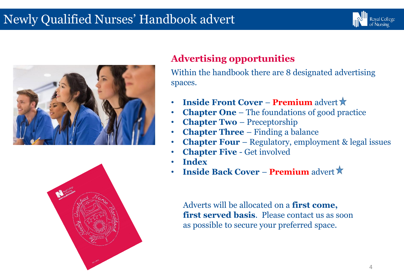# Newly Qualified Nurses' Handbook advert







# **Advertising opportunities**

Within the handbook there are 8 designated advertising spaces.

- **Inside Front Cover − Premium** advert **★**
- **Chapter One** The foundations of good practice
- **Chapter Two**  Preceptorship
- **Chapter Three**  Finding a balance
- **Chapter Four**  Regulatory, employment & legal issues
- **Chapter Five**  Get involved
- **Index**
- **Inside Back Cover − Premium** advert  $\star$

Adverts will be allocated on a **first come, first served basis**. Please contact us as soon as possible to secure your preferred space.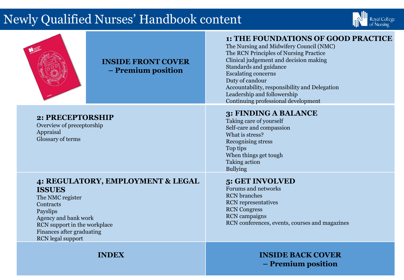# Newly Qualified Nurses' Handbook content





Appraisal

Glossary of terms

#### **INSIDE FRONT COVER – Premium position**

#### **1: THE FOUNDATIONS OF GOOD PRACTICE**

The Nursing and Midwifery Council (NMC) The RCN Principles of Nursing Practice Clinical judgement and decision making Standards and guidance Escalating concerns Duty of candour Accountability, responsibility and Delegation Leadership and followership Continuing professional development

### **3: FINDING A BALANCE**

Taking care of yourself Self-care and compassion What is stress? Recognising stress Top tips When things get tough Taking action Bullying

#### **4: REGULATORY, EMPLOYMENT & LEGAL ISSUES**

The NMC register **Contracts** Payslips Agency and bank work RCN support in the workplace Finances after graduating RCN legal support

**2: PRECEPTORSHIP** Overview of preceptorship

#### **5: GET INVOLVED**

Forums and networks RCN branches RCN representatives RCN Congress RCN campaigns RCN conferences, events, courses and magazines

#### **INDEX INSIDE BACK COVER – Premium position**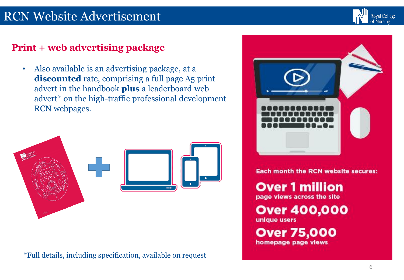# RCN Website Advertisement



# **Print + web advertising package**

• Also available is an advertising package, at a discounted rate, comprising a full page A5 print advert in the handbook **plus** a leaderboard web advert\* on the high-traffic professional development RCN webpages.



\*Full details, including specification, available on request



**Each month the RCN website secures:** 

**Over 1 million** page views across the site

**Over 400,000** 

unique users

**Over 75,000** homepage page views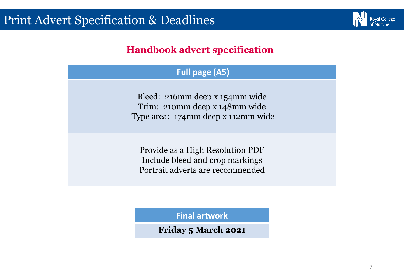

# **Handbook advert specification**

### **Full page (A5)**

Bleed: 216mm deep x 154mm wide Trim: 210mm deep x 148mm wide Type area: 174mm deep x 112mm wide

Provide as a High Resolution PDF Include bleed and crop markings Portrait adverts are recommended

**Final artwork** 

**Friday 5 March 2021**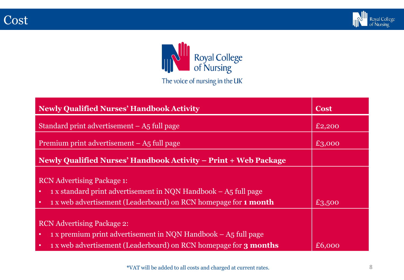



| <b>Newly Qualified Nurses' Handbook Activity</b>                                                                                                                                                                     | <b>Cost</b> |
|----------------------------------------------------------------------------------------------------------------------------------------------------------------------------------------------------------------------|-------------|
| Standard print advertisement $-$ A5 full page                                                                                                                                                                        | £2,200      |
| Premium print advertisement $-$ A <sub>5</sub> full page                                                                                                                                                             | £3,000      |
| Newly Qualified Nurses' Handbook Activity – Print + Web Package                                                                                                                                                      |             |
| <b>RCN</b> Advertising Package 1:<br>1 x standard print advertisement in NQN Handbook – A5 full page<br>$\bullet$<br>1 x web advertisement (Leaderboard) on RCN homepage for 1 month<br>٠                            | £3,500      |
| <b>RCN</b> Advertising Package 2:<br>$\frac{1}{1}$ x premium print advertisement in NQN Handbook – A5 full page<br>$\bullet$<br>1 x web advertisement (Leaderboard) on RCN homepage for <b>3 months</b><br>$\bullet$ | £6,000      |